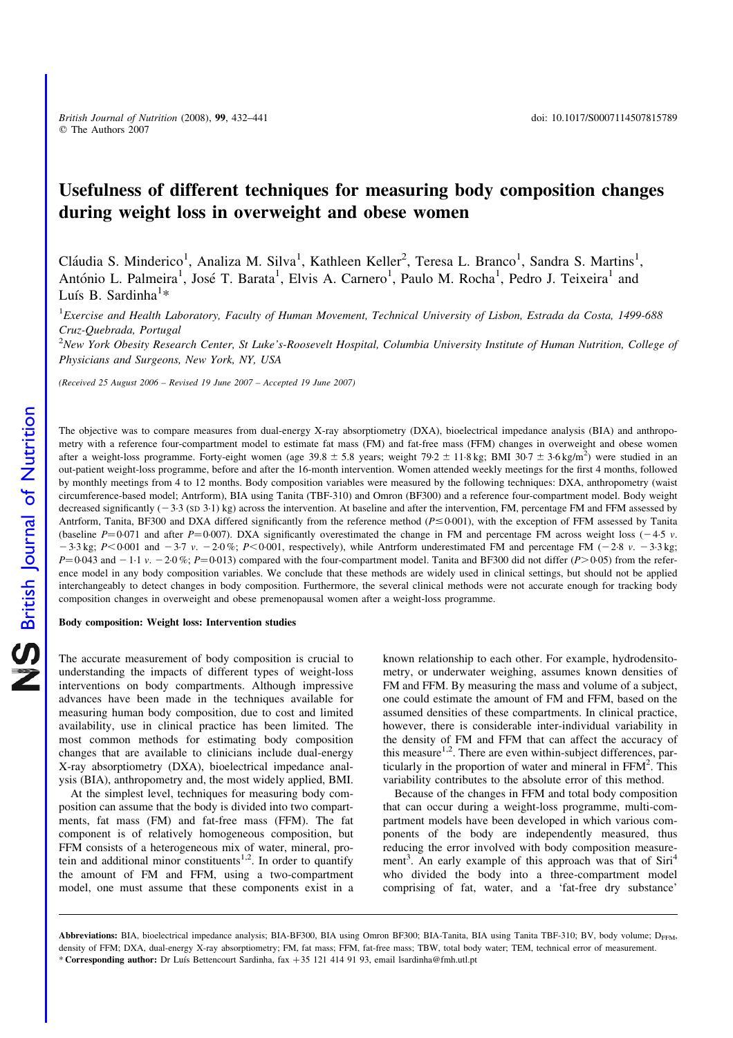# Usefulness of different techniques for measuring body composition changes during weight loss in overweight and obese women

Cláudia S. Minderico<sup>1</sup>, Analiza M. Silva<sup>1</sup>, Kathleen Keller<sup>2</sup>, Teresa L. Branco<sup>1</sup>, Sandra S. Martins<sup>1</sup>, António L. Palmeira<sup>1</sup>, José T. Barata<sup>1</sup>, Elvis A. Carnero<sup>1</sup>, Paulo M. Rocha<sup>1</sup>, Pedro J. Teixeira<sup>1</sup> and Luís B. Sardinha<sup>1</sup>\*

 ${}^{1}$ Exercise and Health Laboratory, Faculty of Human Movement, Technical University of Lisbon, Estrada da Costa, 1499-688 Cruz-Quebrada, Portugal

 $2$ New York Obesity Research Center, St Luke's-Roosevelt Hospital, Columbia University Institute of Human Nutrition, College of Physicians and Surgeons, New York, NY, USA

(Received 25 August 2006 – Revised 19 June 2007 – Accepted 19 June 2007)

The objective was to compare measures from dual-energy X-ray absorptiometry (DXA), bioelectrical impedance analysis (BIA) and anthropometry with a reference four-compartment model to estimate fat mass (FM) and fat-free mass (FFM) changes in overweight and obese women after a weight-loss programme. Forty-eight women (age  $39.8 \pm 5.8$  years; weight 79·2  $\pm$  11·8 kg; BMI 30·7  $\pm$  3·6 kg/m<sup>2</sup>) were studied in an out-patient weight-loss programme, before and after the 16-month intervention. Women attended weekly meetings for the first 4 months, followed by monthly meetings from 4 to 12 months. Body composition variables were measured by the following techniques: DXA, anthropometry (waist circumference-based model; Antrform), BIA using Tanita (TBF-310) and Omron (BF300) and a reference four-compartment model. Body weight decreased significantly  $(-3.3 \text{ (SD 3-1) kg})$  across the intervention. At baseline and after the intervention, FM, percentage FM and FFM assessed by Antrform, Tanita, BF300 and DXA differed significantly from the reference method ( $P \le 0.001$ ), with the exception of FFM assessed by Tanita (baseline  $P=0.071$  and after  $P=0.007$ ). DXA significantly overestimated the change in FM and percentage FM across weight loss (-4.5 v.  $-3.3 \text{ kg}$ ; P<0.001 and  $-3.7 \text{ v}$ .  $-2.0 \%$ ; P<0.001, respectively), while Antrform underestimated FM and percentage FM (-2.8  $\text{v}$ .  $-3.3 \text{ kg}$ ;  $P=0.043$  and  $-1.1$  v.  $-2.0$  %;  $P=0.013$ ) compared with the four-compartment model. Tanita and BF300 did not differ (P $> 0.05$ ) from the reference model in any body composition variables. We conclude that these methods are widely used in clinical settings, but should not be applied interchangeably to detect changes in body composition. Furthermore, the several clinical methods were not accurate enough for tracking body composition changes in overweight and obese premenopausal women after a weight-loss programme.

#### Body composition: Weight loss: Intervention studies

The accurate measurement of body composition is crucial to understanding the impacts of different types of weight-loss interventions on body compartments. Although impressive advances have been made in the techniques available for measuring human body composition, due to cost and limited availability, use in clinical practice has been limited. The most common methods for estimating body composition changes that are available to clinicians include dual-energy X-ray absorptiometry (DXA), bioelectrical impedance analysis (BIA), anthropometry and, the most widely applied, BMI.

At the simplest level, techniques for measuring body composition can assume that the body is divided into two compartments, fat mass (FM) and fat-free mass (FFM). The fat component is of relatively homogeneous composition, but FFM consists of a heterogeneous mix of water, mineral, protein and additional minor constituents<sup>1,2</sup>. In order to quantify the amount of FM and FFM, using a two-compartment model, one must assume that these components exist in a

known relationship to each other. For example, hydrodensitometry, or underwater weighing, assumes known densities of FM and FFM. By measuring the mass and volume of a subject, one could estimate the amount of FM and FFM, based on the assumed densities of these compartments. In clinical practice, however, there is considerable inter-individual variability in the density of FM and FFM that can affect the accuracy of this measure<sup>1,2</sup>. There are even within-subject differences, particularly in the proportion of water and mineral in  $FFM<sup>2</sup>$ . This variability contributes to the absolute error of this method.

Because of the changes in FFM and total body composition that can occur during a weight-loss programme, multi-compartment models have been developed in which various components of the body are independently measured, thus reducing the error involved with body composition measurement<sup>3</sup>. An early example of this approach was that of Siri<sup>4</sup> who divided the body into a three-compartment model comprising of fat, water, and a 'fat-free dry substance'

<sup>\*</sup> Corresponding author: Dr Luís Bettencourt Sardinha, fax +35 121 414 91 93, email lsardinha@fmh.utl.pt Abbreviations: BIA, bioelectrical impedance analysis; BIA-BF300, BIA using Omron BF300; BIA-Tanita, BIA using Tanita TBF-310; BV, body volume; D<sub>FFM</sub>, density of FFM; DXA, dual-energy X-ray absorptiometry; FM, fat mass; FFM, fat-free mass; TBW, total body water; TEM, technical error of measurement.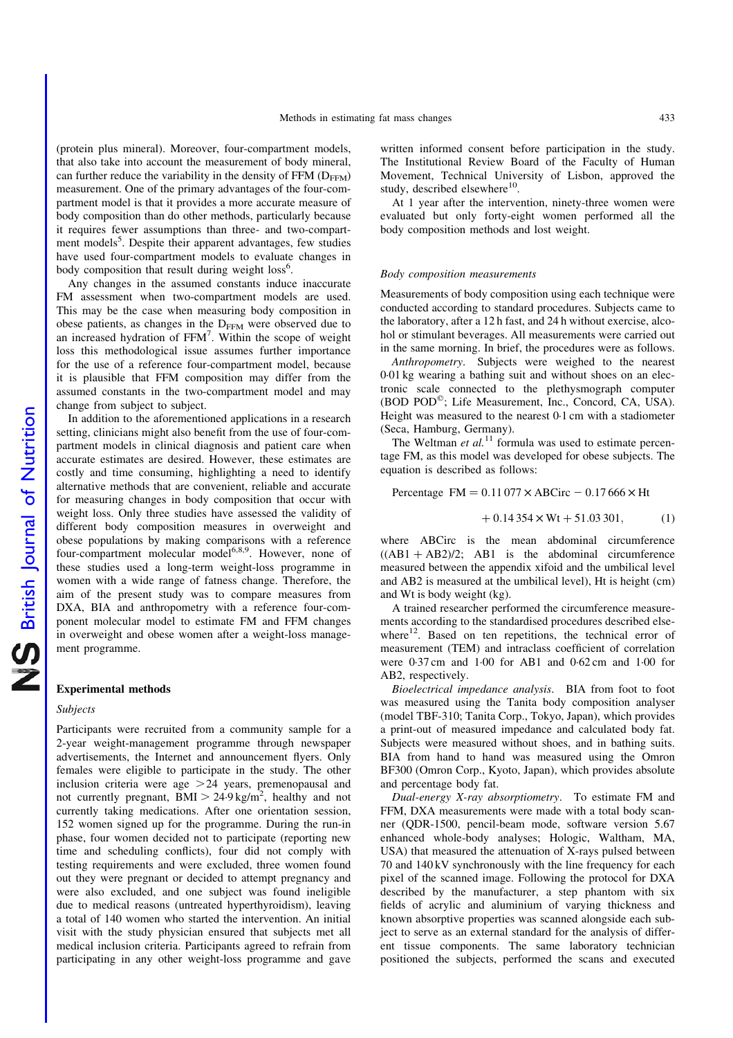(protein plus mineral). Moreover, four-compartment models, that also take into account the measurement of body mineral, can further reduce the variability in the density of  $FFM$  ( $D_{FFM}$ ) measurement. One of the primary advantages of the four-compartment model is that it provides a more accurate measure of body composition than do other methods, particularly because it requires fewer assumptions than three- and two-compartment models<sup>5</sup>. Despite their apparent advantages, few studies have used four-compartment models to evaluate changes in body composition that result during weight  $loss<sup>6</sup>$ .

Any changes in the assumed constants induce inaccurate FM assessment when two-compartment models are used. This may be the case when measuring body composition in obese patients, as changes in the  $D_{FFM}$  were observed due to an increased hydration of FFM<sup>7</sup>. Within the scope of weight loss this methodological issue assumes further importance for the use of a reference four-compartment model, because it is plausible that FFM composition may differ from the assumed constants in the two-compartment model and may change from subject to subject.

In addition to the aforementioned applications in a research setting, clinicians might also benefit from the use of four-compartment models in clinical diagnosis and patient care when accurate estimates are desired. However, these estimates are costly and time consuming, highlighting a need to identify alternative methods that are convenient, reliable and accurate for measuring changes in body composition that occur with weight loss. Only three studies have assessed the validity of different body composition measures in overweight and obese populations by making comparisons with a reference four-compartment molecular model<sup>6,8,9</sup>. However, none of these studies used a long-term weight-loss programme in women with a wide range of fatness change. Therefore, the aim of the present study was to compare measures from DXA, BIA and anthropometry with a reference four-component molecular model to estimate FM and FFM changes in overweight and obese women after a weight-loss management programme.

#### Experimental methods

# Subjects

Participants were recruited from a community sample for a 2-year weight-management programme through newspaper advertisements, the Internet and announcement flyers. Only females were eligible to participate in the study. The other inclusion criteria were age  $>24$  years, premenopausal and not currently pregnant,  $\overline{BMI} > 24.9 \text{ kg/m}^2$ , healthy and not currently taking medications. After one orientation session, 152 women signed up for the programme. During the run-in phase, four women decided not to participate (reporting new time and scheduling conflicts), four did not comply with testing requirements and were excluded, three women found out they were pregnant or decided to attempt pregnancy and were also excluded, and one subject was found ineligible due to medical reasons (untreated hyperthyroidism), leaving a total of 140 women who started the intervention. An initial visit with the study physician ensured that subjects met all medical inclusion criteria. Participants agreed to refrain from participating in any other weight-loss programme and gave written informed consent before participation in the study. The Institutional Review Board of the Faculty of Human Movement, Technical University of Lisbon, approved the study, described elsewhere $10$ .

At 1 year after the intervention, ninety-three women were evaluated but only forty-eight women performed all the body composition methods and lost weight.

# Body composition measurements

Measurements of body composition using each technique were conducted according to standard procedures. Subjects came to the laboratory, after a 12 h fast, and 24 h without exercise, alcohol or stimulant beverages. All measurements were carried out in the same morning. In brief, the procedures were as follows.

Anthropometry. Subjects were weighed to the nearest 0·01 kg wearing a bathing suit and without shoes on an electronic scale connected to the plethysmograph computer (BOD POD<sup>®</sup>; Life Measurement, Inc., Concord, CA, USA). Height was measured to the nearest 0·1 cm with a stadiometer (Seca, Hamburg, Germany).

The Weltman et  $al$ <sup>11</sup> formula was used to estimate percentage FM, as this model was developed for obese subjects. The equation is described as follows:

Percentage  $FM = 0.11077 \times ABC$ irc  $-0.17666 \times Ht$ 

$$
+ 0.14354 \times Wt + 51.03301,
$$
 (1)

where ABCirc is the mean abdominal circumference  $((AB1 + AB2)/2; AB1$  is the abdominal circumference measured between the appendix xifoid and the umbilical level and AB2 is measured at the umbilical level), Ht is height (cm) and Wt is body weight (kg).

A trained researcher performed the circumference measurements according to the standardised procedures described elsewhere $12$ . Based on ten repetitions, the technical error of measurement (TEM) and intraclass coefficient of correlation were 0·37 cm and 1·00 for AB1 and 0·62 cm and 1·00 for AB2, respectively.

Bioelectrical impedance analysis. BIA from foot to foot was measured using the Tanita body composition analyser (model TBF-310; Tanita Corp., Tokyo, Japan), which provides a print-out of measured impedance and calculated body fat. Subjects were measured without shoes, and in bathing suits. BIA from hand to hand was measured using the Omron BF300 (Omron Corp., Kyoto, Japan), which provides absolute and percentage body fat.

Dual-energy X-ray absorptiometry. To estimate FM and FFM, DXA measurements were made with a total body scanner (QDR-1500, pencil-beam mode, software version 5.67 enhanced whole-body analyses; Hologic, Waltham, MA, USA) that measured the attenuation of X-rays pulsed between 70 and 140 kV synchronously with the line frequency for each pixel of the scanned image. Following the protocol for DXA described by the manufacturer, a step phantom with six fields of acrylic and aluminium of varying thickness and known absorptive properties was scanned alongside each subject to serve as an external standard for the analysis of different tissue components. The same laboratory technician positioned the subjects, performed the scans and executed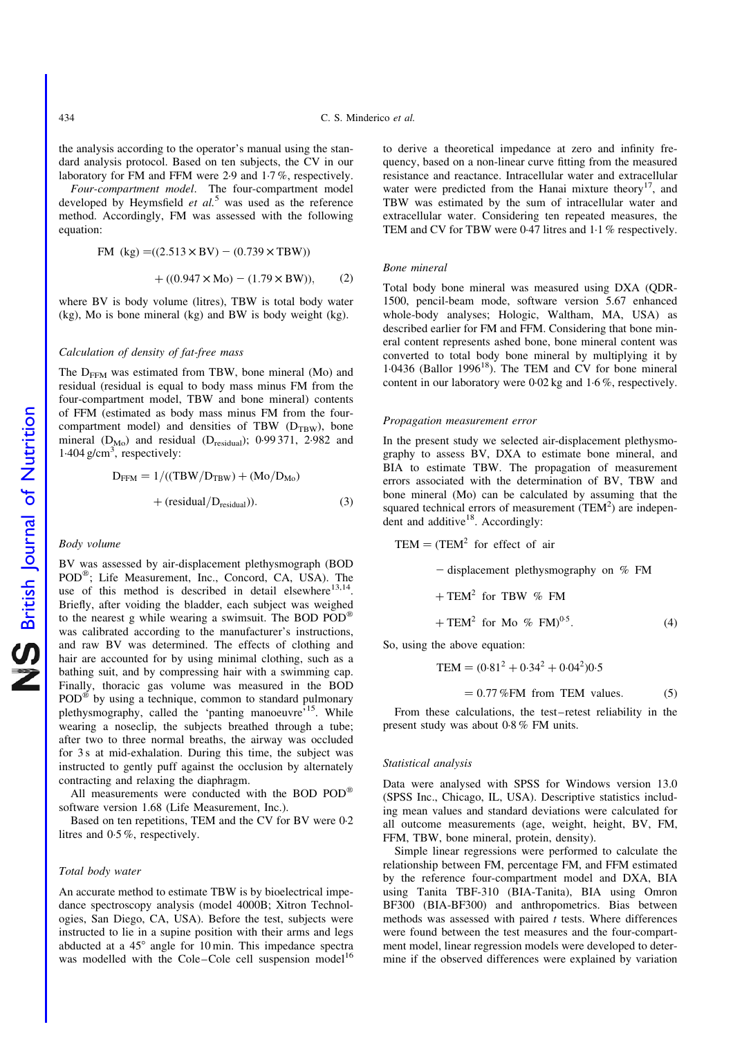the analysis according to the operator's manual using the standard analysis protocol. Based on ten subjects, the CV in our laboratory for FM and FFM were 2·9 and 1·7 %, respectively.

Four-compartment model. The four-compartment model developed by Heymsfield  $et$   $al$ <sup>5</sup> was used as the reference method. Accordingly, FM was assessed with the following equation:

$$
FM (kg) = ((2.513 \times BV) - (0.739 \times TBW))
$$

$$
+ ((0.947 \times Mo) - (1.79 \times BW)), \qquad (2)
$$

where BV is body volume (litres), TBW is total body water (kg), Mo is bone mineral (kg) and BW is body weight (kg).

#### Calculation of density of fat-free mass

The  $D_{FFM}$  was estimated from TBW, bone mineral (Mo) and residual (residual is equal to body mass minus FM from the four-compartment model, TBW and bone mineral) contents of FFM (estimated as body mass minus FM from the fourcompartment model) and densities of TBW ( $D_{TBW}$ ), bone mineral  $(D_{\text{Mo}})$  and residual  $(D_{\text{residual}})$ ; 0.99 371, 2.982 and 1.404 g/cm<sup>3</sup>, respectively:

$$
D_{FFM} = 1/((TBW/D_{TBW}) + (Mo/D_{Mo})
$$
  
+ (residual/D<sub>residual</sub>)). (3)

Body volume

BV was assessed by air-displacement plethysmograph (BOD POD<sup>®</sup>; Life Measurement, Inc., Concord, CA, USA). The use of this method is described in detail elsewhere $13,14$ Briefly, after voiding the bladder, each subject was weighed to the nearest g while wearing a swimsuit. The BOD  $POD^{\circledR}$ was calibrated according to the manufacturer's instructions, and raw BV was determined. The effects of clothing and hair are accounted for by using minimal clothing, such as a bathing suit, and by compressing hair with a swimming cap. Finally, thoracic gas volume was measured in the BOD  $POD^{\circledR}$  by using a technique, common to standard pulmonary plethysmography, called the 'panting manoeuvre'<sup>15</sup>. While wearing a noseclip, the subjects breathed through a tube; after two to three normal breaths, the airway was occluded for 3 s at mid-exhalation. During this time, the subject was instructed to gently puff against the occlusion by alternately contracting and relaxing the diaphragm.

All measurements were conducted with the BOD  $POD^{\circledR}$ software version 1.68 (Life Measurement, Inc.).

Based on ten repetitions, TEM and the CV for BV were 0·2 litres and 0·5 %, respectively.

#### Total body water

An accurate method to estimate TBW is by bioelectrical impedance spectroscopy analysis (model 4000B; Xitron Technologies, San Diego, CA, USA). Before the test, subjects were instructed to lie in a supine position with their arms and legs abducted at a  $45^{\circ}$  angle for 10 min. This impedance spectra was modelled with the Cole–Cole cell suspension model<sup>16</sup> to derive a theoretical impedance at zero and infinity frequency, based on a non-linear curve fitting from the measured resistance and reactance. Intracellular water and extracellular water were predicted from the Hanai mixture theory<sup>17</sup>, and TBW was estimated by the sum of intracellular water and extracellular water. Considering ten repeated measures, the TEM and CV for TBW were 0·47 litres and 1·1 % respectively.

#### Bone mineral

Total body bone mineral was measured using DXA (QDR-1500, pencil-beam mode, software version 5.67 enhanced whole-body analyses; Hologic, Waltham, MA, USA) as described earlier for FM and FFM. Considering that bone mineral content represents ashed bone, bone mineral content was converted to total body bone mineral by multiplying it by 1.0436 (Ballor 1996 $^{18}$ ). The TEM and CV for bone mineral content in our laboratory were 0·02 kg and 1·6 %, respectively.

#### Propagation measurement error

In the present study we selected air-displacement plethysmography to assess BV, DXA to estimate bone mineral, and BIA to estimate TBW. The propagation of measurement errors associated with the determination of BV, TBW and bone mineral (Mo) can be calculated by assuming that the squared technical errors of measurement  $(TEM<sup>2</sup>)$  are independent and additive $18$ . Accordingly:

$$
TEM = (TEM2 for effect of air
$$
  
\n
$$
- displacement plethysmography on % FM
$$
  
\n
$$
+ TEM2 for TBW % FM
$$
  
\n
$$
+ TEM2 for Mo % FM)0.5.
$$
 (4)

So, using the above equation:

$$
TEM = (0.812 + 0.342 + 0.042)0.5
$$

 $= 0.77\%$ FM from TEM values. (5)

From these calculations, the test–retest reliability in the present study was about 0·8 % FM units.

#### Statistical analysis

Data were analysed with SPSS for Windows version 13.0 (SPSS Inc., Chicago, IL, USA). Descriptive statistics including mean values and standard deviations were calculated for all outcome measurements (age, weight, height, BV, FM, FFM, TBW, bone mineral, protein, density).

Simple linear regressions were performed to calculate the relationship between FM, percentage FM, and FFM estimated by the reference four-compartment model and DXA, BIA using Tanita TBF-310 (BIA-Tanita), BIA using Omron BF300 (BIA-BF300) and anthropometrics. Bias between methods was assessed with paired  $t$  tests. Where differences were found between the test measures and the four-compartment model, linear regression models were developed to determine if the observed differences were explained by variation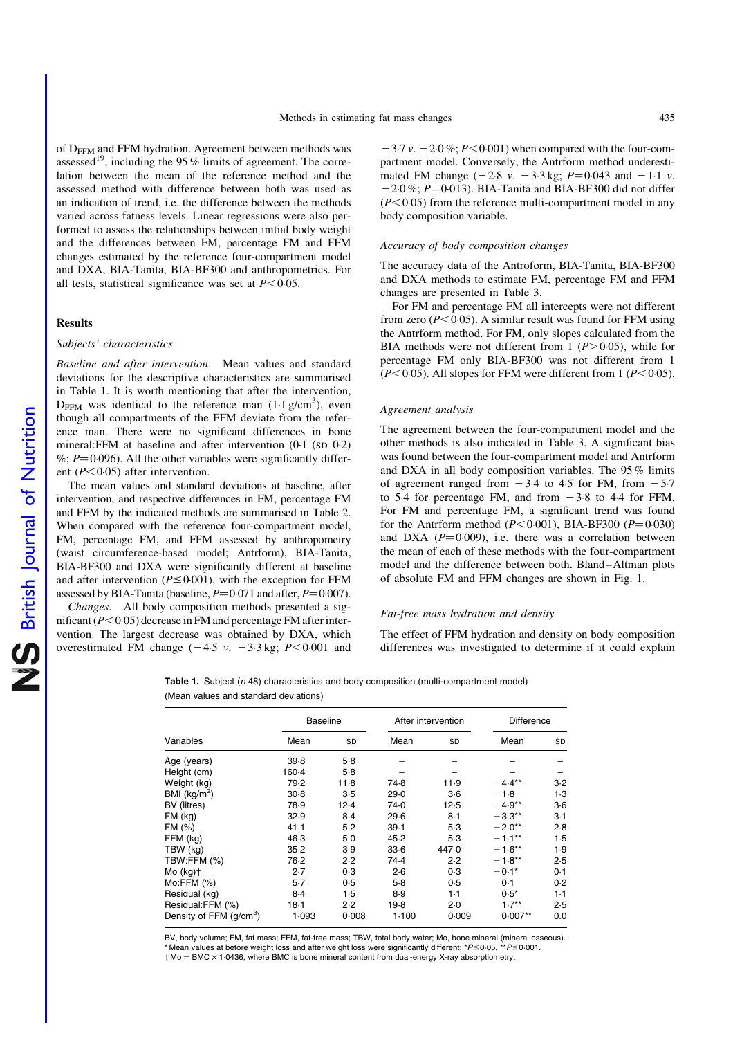formed to assess the relationships between initial body weight and the differences between FM, percentage FM and FFM changes estimated by the reference four-compartment model and DXA, BIA-Tanita, BIA-BF300 and anthropometrics. For

## Results

#### Subjects' characteristics

Baseline and after intervention. Mean values and standard deviations for the descriptive characteristics are summarised in Table 1. It is worth mentioning that after the intervention,  $D_{FFM}$  was identical to the reference man  $(1.1 \text{ g/cm}^3)$ , even though all compartments of the FFM deviate from the reference man. There were no significant differences in bone mineral:FFM at baseline and after intervention (0.1 (SD 0.2)  $\%$ ; P=0.096). All the other variables were significantly different ( $P<0.05$ ) after intervention.

of D<sub>FFM</sub> and FFM hydration. Agreement between methods was assessed<sup>19</sup>, including the 95 % limits of agreement. The correlation between the mean of the reference method and the assessed method with difference between both was used as an indication of trend, i.e. the difference between the methods varied across fatness levels. Linear regressions were also per-

all tests, statistical significance was set at  $P < 0.05$ .

The mean values and standard deviations at baseline, after intervention, and respective differences in FM, percentage FM and FFM by the indicated methods are summarised in Table 2. When compared with the reference four-compartment model, FM, percentage FM, and FFM assessed by anthropometry (waist circumference-based model; Antrform), BIA-Tanita, BIA-BF300 and DXA were significantly different at baseline and after intervention ( $P \le 0.001$ ), with the exception for FFM assessed by BIA-Tanita (baseline,  $P = 0.071$  and after,  $P = 0.007$ ).

Changes. All body composition methods presented a significant  $(P<0.05)$  decrease in FM and percentage FM after intervention. The largest decrease was obtained by DXA, which overestimated FM change  $(-4.5 v. -3.3 \text{kg})$ ; P $< 0.001$  and

 $-3.7 v. -2.0 \%$ ;  $P<0.001$ ) when compared with the four-compartment model. Conversely, the Antrform method underestimated FM change  $(-2.8 \text{ v. } -3.3 \text{ kg};$   $P=0.043$  and  $-1.1 \text{ v.}$  $-2.0$  %; P=0.013). BIA-Tanita and BIA-BF300 did not differ  $(P<0.05)$  from the reference multi-compartment model in any body composition variable.

# Accuracy of body composition changes

The accuracy data of the Antroform, BIA-Tanita, BIA-BF300 and DXA methods to estimate FM, percentage FM and FFM changes are presented in Table 3.

For FM and percentage FM all intercepts were not different from zero ( $P < 0.05$ ). A similar result was found for FFM using the Antrform method. For FM, only slopes calculated from the BIA methods were not different from 1 ( $P > 0.05$ ), while for percentage FM only BIA-BF300 was not different from 1  $(P<0.05)$ . All slopes for FFM were different from 1 ( $P<0.05$ ).

# Agreement analysis

The agreement between the four-compartment model and the other methods is also indicated in Table 3. A significant bias was found between the four-compartment model and Antrform and DXA in all body composition variables. The 95 % limits of agreement ranged from  $-3.4$  to 4.5 for FM, from  $-5.7$ to 5.4 for percentage FM, and from  $-3.8$  to 4.4 for FFM. For FM and percentage FM, a significant trend was found for the Antrform method ( $P < 0.001$ ), BIA-BF300 ( $P = 0.030$ ) and DXA  $(P=0.009)$ , i.e. there was a correlation between the mean of each of these methods with the four-compartment model and the difference between both. Bland–Altman plots of absolute FM and FFM changes are shown in Fig. 1.

## Fat-free mass hydration and density

The effect of FFM hydration and density on body composition differences was investigated to determine if it could explain

Table 1. Subject (n 48) characteristics and body composition (multi-compartment model) (Mean values and standard deviations)

|                                     | <b>Baseline</b> |        | After intervention |           | <b>Difference</b> |       |
|-------------------------------------|-----------------|--------|--------------------|-----------|-------------------|-------|
| Variables                           | Mean            | SD     | Mean               | <b>SD</b> | Mean              | SD    |
| Age (years)                         | 39.8            | $5-8$  |                    |           |                   |       |
| Height (cm)                         | 160-4           | $5-8$  |                    |           |                   |       |
| Weight (kg)                         | 79.2            | $11-8$ | 74 8               | $11-9$    | $-4.4**$          | 3.2   |
| BMI ( $kg/m2$ )                     | $30-8$          | 3.5    | 29.0               | $3-6$     | $-1.8$            | 1.3   |
| BV (litres)                         | 78.9            | 12.4   | 74.0               | $12-5$    | $-4.9**$          | $3-6$ |
| $FM$ ( $kq$ )                       | 32.9            | $8-4$  | 29.6               | $8-1$     | $-3.3**$          | $3-1$ |
| FM (%)                              | 41.1            | $5-2$  | $39 - 1$           | 5.3       | $-2.0**$          | 2.8   |
| FFM (kg)                            | 46.3            | $5-0$  | 45.2               | 5.3       | $-1.1***$         | 1.5   |
| TBW (kg)                            | $35 - 2$        | 3.9    | 33.6               | 447.0     | $-1.6***$         | 1.9   |
| TBW:FFM (%)                         | 76.2            | 2.2    | 74.4               | 2.2       | $-1.8**$          | 2.5   |
| Mo(kg)                              | 2.7             | 0.3    | 2.6                | 0.3       | $-0.1*$           | 0.1   |
| Mo:FFM(%)                           | $5-7$           | 0.5    | $5-8$              | 0.5       | 0.1               | 0.2   |
| Residual (kg)                       | $8-4$           | 1.5    | 8.9                | $1-1$     | $0.5*$            | $1-1$ |
| Residual:FFM (%)                    | 18-1            | 2.2    | $19-8$             | 2.0       | $1.7**$           | 2.5   |
| Density of FFM (g/cm <sup>3</sup> ) | 1.093           | 0.008  | 1.100              | 0.009     | $0.007**$         | 0.0   |

BV, body volume; FM, fat mass; FFM, fat-free mass; TBW, total body water; Mo, bone mineral (mineral osseous). \* Mean values at before weight loss and after weight loss were significantly different:  $*P \le 0.05$ ,  $*P \le 0.001$ .  $\dagger$  Mo = BMC  $\times$  1·0436, where BMC is bone mineral content from dual-energy X-ray absorptiometry.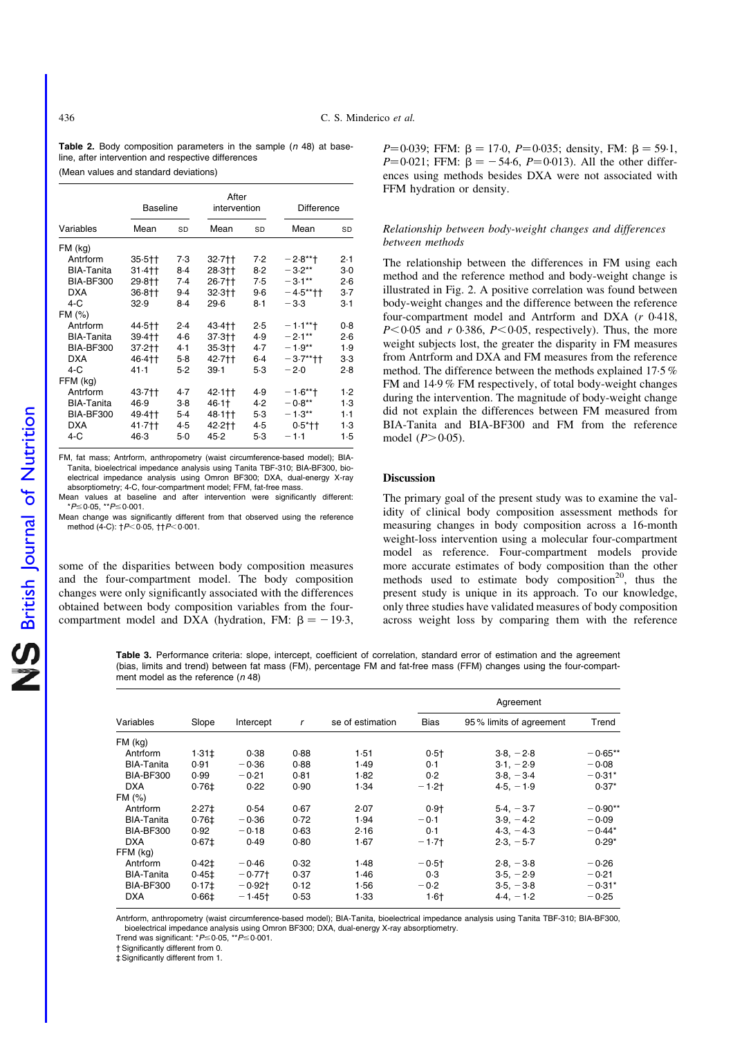**Table 2.** Body composition parameters in the sample  $(n 48)$  at baseline, after intervention and respective differences (Mean values and standard deviations)

|                   | <b>Baseline</b> |       | After<br>intervention |       | <b>Difference</b> |       |
|-------------------|-----------------|-------|-----------------------|-------|-------------------|-------|
| Variables         | Mean            | SD    | Mean                  | SD    | Mean              | SD    |
| $FM$ (kg)         |                 |       |                       |       |                   |       |
| Antrform          | $35.5 +$        | 7.3   | $32.7 +$              | 7.2   | $-2.8$ **†        | 2.1   |
| <b>BIA-Tanita</b> | 31.4††          | 8.4   | 28.3††                | 8.2   | $-3.2**$          | 3.0   |
| <b>BIA-BF300</b>  | 29.8++          | 7.4   | 26.7††                | 7.5   | $-3.1***$         | 2.6   |
| <b>DXA</b>        | 36-8††          | $9-4$ | $32.3 + 1$            | 9.6   | $-4.5$ **††       | $3-7$ |
| $4-C$             | 32.9            | $8-4$ | 29.6                  | $8-1$ | $-3.3$            | $3-1$ |
| FM (%)            |                 |       |                       |       |                   |       |
| Antrform          | 44.5††          | 2.4   | 43-4††                | 2.5   | $-1.1***$         | 0.8   |
| <b>BIA-Tanita</b> | 39.4††          | 4.6   | 37.3††                | 4.9   | $-2.1***$         | 2.6   |
| BIA-BF300         | 37.2††          | 4.1   | $35.3 +$              | 4.7   | $-1.9**$          | 1.9   |
| <b>DXA</b>        | 46-411          | $5-8$ | 42.7††                | $6-4$ | $-3.7$ **††       | $3-3$ |
| $4-C$             | 41.1            | 5.2   | $39 - 1$              | 5.3   | $-2.0$            | 2.8   |
| FFM (kg)          |                 |       |                       |       |                   |       |
| Antrform          | 43.7††          | 4.7   | 42.1††                | 4.9   | $-1.6$ **†        | 1.2   |
| <b>BIA-Tanita</b> | 46.9            | 3.8   | $46.1+$               | 4.2   | $-0.8**$          | 1.3   |
| <b>BIA-BF300</b>  | 49.4††          | $5-4$ | 48-1††                | $5-3$ | $-1.3**$          | $1-1$ |
| <b>DXA</b>        | 41.7††          | 4.5   | 42.2++                | 4.5   | $0.5*+1$          | 1.3   |
| $4-C$             | 46.3            | 5.0   | 45.2                  | 5.3   | $-1.1$            | 1.5   |

FM, fat mass; Antrform, anthropometry (waist circumference-based model); BIA-Tanita, bioelectrical impedance analysis using Tanita TBF-310; BIA-BF300, bioelectrical impedance analysis using Omron BF300; DXA, dual-energy X-ray absorptiometry; 4-C, four-compartment model; FFM, fat-free mass.

Mean values at baseline and after intervention were significantly different:  $*P \leq 0.05$ ,  $*P \leq 0.001$ .

Mean change was significantly different from that observed using the reference method  $(4-C)$ :  $\uparrow P < 0.05$ ,  $\uparrow + P < 0.001$ .

some of the disparities between body composition measures and the four-compartment model. The body composition changes were only significantly associated with the differences obtained between body composition variables from the fourcompartment model and DXA (hydration, FM:  $\beta = -19.3$ ,

P=0.039; FFM:  $\beta = 17.0$ , P=0.035; density, FM:  $\beta = 59.1$ ,  $P=0.021$ ; FFM:  $\beta = -54.6$ ,  $P=0.013$ ). All the other differences using methods besides DXA were not associated with FFM hydration or density.

## Relationship between body-weight changes and differences between methods

The relationship between the differences in FM using each method and the reference method and body-weight change is illustrated in Fig. 2. A positive correlation was found between body-weight changes and the difference between the reference four-compartment model and Antrform and DXA (r 0·418,  $P<0.05$  and r 0.386,  $P<0.05$ , respectively). Thus, the more weight subjects lost, the greater the disparity in FM measures from Antrform and DXA and FM measures from the reference method. The difference between the methods explained 17·5 % FM and 14·9 % FM respectively, of total body-weight changes during the intervention. The magnitude of body-weight change did not explain the differences between FM measured from BIA-Tanita and BIA-BF300 and FM from the reference model  $(P > 0.05)$ .

# Discussion

The primary goal of the present study was to examine the validity of clinical body composition assessment methods for measuring changes in body composition across a 16-month weight-loss intervention using a molecular four-compartment model as reference. Four-compartment models provide more accurate estimates of body composition than the other methods used to estimate body composition<sup>20</sup>, thus the present study is unique in its approach. To our knowledge, only three studies have validated measures of body composition across weight loss by comparing them with the reference

Table 3. Performance criteria: slope, intercept, coefficient of correlation, standard error of estimation and the agreement (bias, limits and trend) between fat mass (FM), percentage FM and fat-free mass (FFM) changes using the four-compartment model as the reference  $(n 48)$ 

|                   |                   | Intercept            |      |                  | Agreement   |                         |           |  |
|-------------------|-------------------|----------------------|------|------------------|-------------|-------------------------|-----------|--|
| Variables         | Slope             |                      | r    | se of estimation | <b>Bias</b> | 95% limits of agreement | Trend     |  |
| $FM$ (kg)         |                   |                      |      |                  |             |                         |           |  |
| Antrform          | $1.31 \pm$        | 0.38                 | 0.88 | 1.51             | $0.5+$      | $3.8, -2.8$             | $-0.65**$ |  |
| <b>BIA-Tanita</b> | 0.91              | $-0.36$              | 0.88 | 1.49             | 0.1         | $3.1, -2.9$             | $-0.08$   |  |
| <b>BIA-BF300</b>  | 0.99              | $-0.21$              | 0.81 | 1.82             | 0.2         | $3.8, -3.4$             | $-0.31*$  |  |
| <b>DXA</b>        | $0.76+$           | 0.22                 | 0.90 | 1.34             | $-1.2$ †    | $4.5. - 1.9$            | $0.37*$   |  |
| FM(%)             |                   |                      |      |                  |             |                         |           |  |
| Antrform          | $2.27+$           | 0.54                 | 0.67 | 2.07             | $0.9+$      | $5.4, -3.7$             | $-0.90**$ |  |
| <b>BIA-Tanita</b> | 0.76 <sup>‡</sup> | $-0.36$              | 0.72 | 1.94             | $-0.1$      | $3.9, -4.2$             | $-0.09$   |  |
| <b>BIA-BF300</b>  | 0.92              | $-0.18$              | 0.63 | 2.16             | 0.1         | $4.3, -4.3$             | $-0.44*$  |  |
| <b>DXA</b>        | 0.67 <sup>±</sup> | 0.49                 | 0.80 | 1.67             | $-1.7$      | $2.3, -5.7$             | $0.29*$   |  |
| FFM (kg)          |                   |                      |      |                  |             |                         |           |  |
| Antrform          | $0.42+$           | $-0.46$              | 0.32 | 1.48             | $-0.5$ †    | $2.8, -3.8$             | $-0.26$   |  |
| <b>BIA-Tanita</b> | $0.45$ ‡          | $-0.77$ †            | 0.37 | 1.46             | 0.3         | $3.5, -2.9$             | $-0.21$   |  |
| <b>BIA-BF300</b>  | 0.17 <sup>±</sup> | $-0.92$ t            | 0.12 | 1.56             | $-0.2$      | $3.5. - 3.8$            | $-0.31*$  |  |
| <b>DXA</b>        | 0.661             | $-1.45$ <sup>+</sup> | 0.53 | 1.33             | $1.6 +$     | $4.4, -1.2$             | $-0.25$   |  |

Antrform, anthropometry (waist circumference-based model); BIA-Tanita, bioelectrical impedance analysis using Tanita TBF-310; BIA-BF300, bioelectrical impedance analysis using Omron BF300; DXA, dual-energy X-ray absorptiometry.

Trend was significant:  $*P \le 0.05$ ,  $*P \le 0.001$ . † Significantly different from 0.

‡ Significantly different from 1.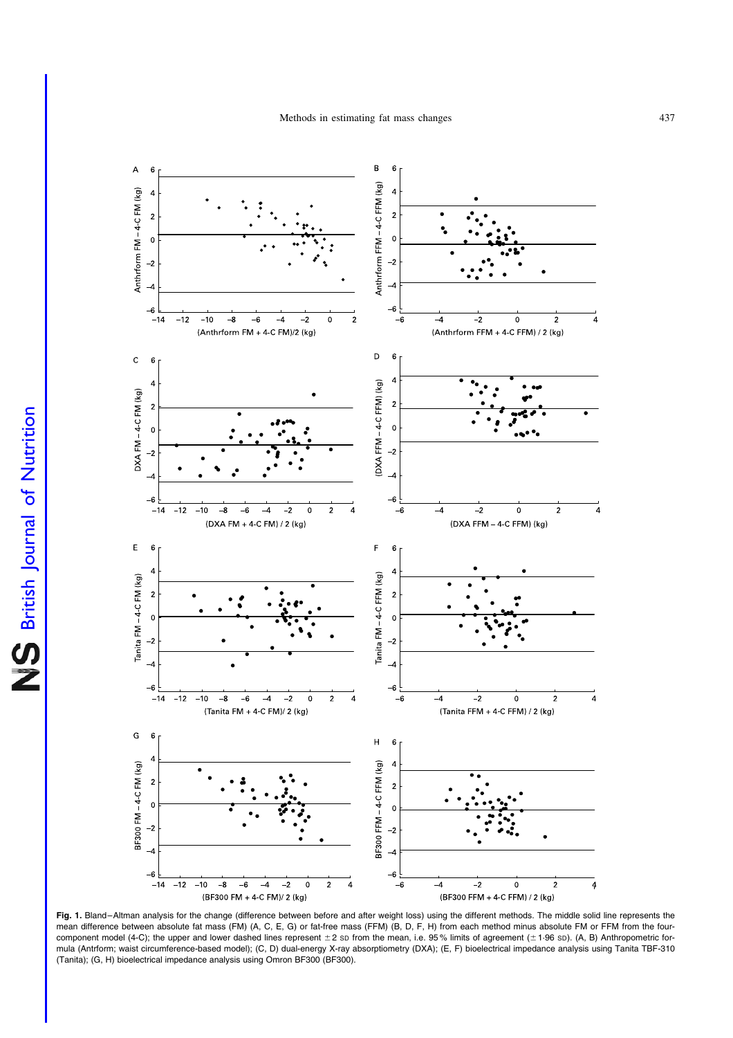

Fig. 1. Bland–Altman analysis for the change (difference between before and after weight loss) using the different methods. The middle solid line represents the mean difference between absolute fat mass (FM) (A, C, E, G) or fat-free mass (FFM) (B, D, F, H) from each method minus absolute FM or FFM from the fourcomponent model (4-C); the upper and lower dashed lines represent  $\pm 2$  so from the mean, i.e. 95% limits of agreement ( $\pm$ 1·96 sp). (A, B) Anthropometric formula (Antrform; waist circumference-based model); (C, D) dual-energy X-ray absorptiometry (DXA); (E, F) bioelectrical impedance analysis using Tanita TBF-310 (Tanita); (G, H) bioelectrical impedance analysis using Omron BF300 (BF300).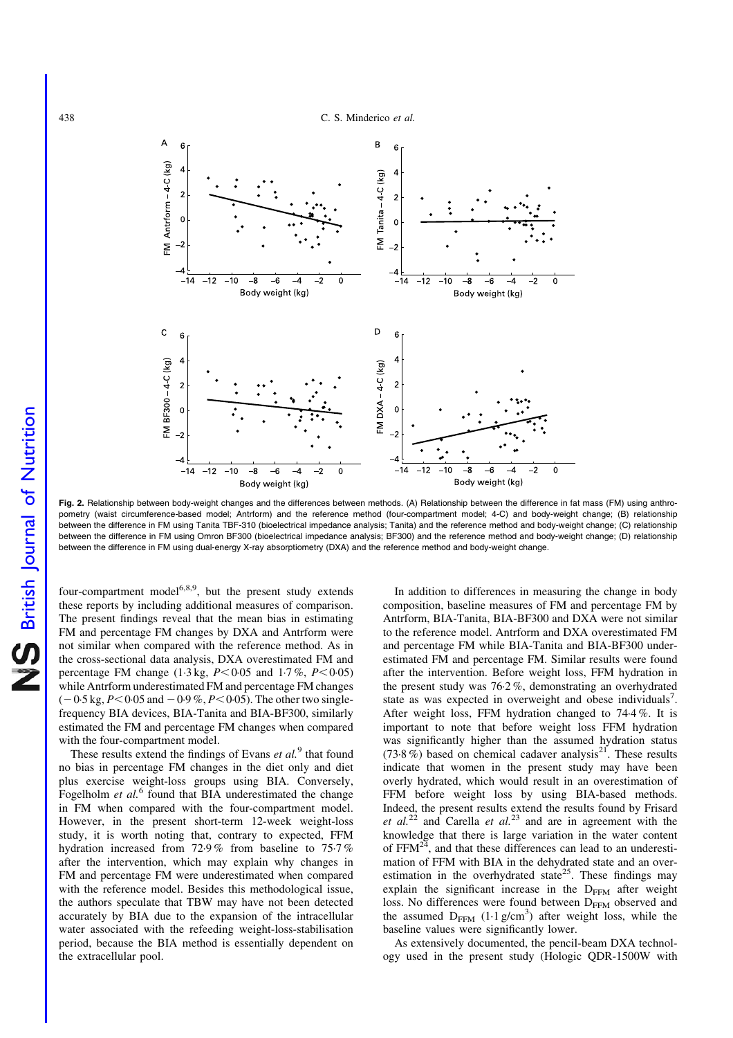

Fig. 2. Relationship between body-weight changes and the differences between methods. (A) Relationship between the difference in fat mass (FM) using anthropometry (waist circumference-based model; Antrform) and the reference method (four-compartment model; 4-C) and body-weight change; (B) relationship between the difference in FM using Tanita TBF-310 (bioelectrical impedance analysis; Tanita) and the reference method and body-weight change; (C) relationship between the difference in FM using Omron BF300 (bioelectrical impedance analysis; BF300) and the reference method and body-weight change; (D) relationship between the difference in FM using dual-energy X-ray absorptiometry (DXA) and the reference method and body-weight change.

four-compartment model<sup>6,8,9</sup>, but the present study extends these reports by including additional measures of comparison. The present findings reveal that the mean bias in estimating FM and percentage FM changes by DXA and Antrform were not similar when compared with the reference method. As in the cross-sectional data analysis, DXA overestimated FM and percentage FM change  $(1.3 \text{ kg}, P < 0.05 \text{ and } 1.7 \%, P < 0.05)$ while Antrform underestimated FM and percentage FM changes  $(-0.5 \text{ kg}, P<0.05 \text{ and } -0.9 \%, P<0.05)$ . The other two singlefrequency BIA devices, BIA-Tanita and BIA-BF300, similarly estimated the FM and percentage FM changes when compared with the four-compartment model.

These results extend the findings of Evans *et al.*<sup>9</sup> that found no bias in percentage FM changes in the diet only and diet plus exercise weight-loss groups using BIA. Conversely, Fogelholm  $et$   $al$ <sup>6</sup> found that BIA underestimated the change in FM when compared with the four-compartment model. However, in the present short-term 12-week weight-loss study, it is worth noting that, contrary to expected, FFM hydration increased from 72·9 % from baseline to 75·7 % after the intervention, which may explain why changes in FM and percentage FM were underestimated when compared with the reference model. Besides this methodological issue, the authors speculate that TBW may have not been detected accurately by BIA due to the expansion of the intracellular water associated with the refeeding weight-loss-stabilisation period, because the BIA method is essentially dependent on the extracellular pool.

In addition to differences in measuring the change in body composition, baseline measures of FM and percentage FM by Antrform, BIA-Tanita, BIA-BF300 and DXA were not similar to the reference model. Antrform and DXA overestimated FM and percentage FM while BIA-Tanita and BIA-BF300 underestimated FM and percentage FM. Similar results were found after the intervention. Before weight loss, FFM hydration in the present study was 76·2 %, demonstrating an overhydrated state as was expected in overweight and obese individuals<sup>7</sup>. After weight loss, FFM hydration changed to 74·4 %. It is important to note that before weight loss FFM hydration was significantly higher than the assumed hydration status  $(73.8\%)$  based on chemical cadaver analysis<sup>21</sup>. These results indicate that women in the present study may have been overly hydrated, which would result in an overestimation of FFM before weight loss by using BIA-based methods. Indeed, the present results extend the results found by Frisard et  $al^{22}$  and Carella et  $al^{23}$  and are in agreement with the knowledge that there is large variation in the water content of  $FFM<sup>24</sup>$ , and that these differences can lead to an underestimation of FFM with BIA in the dehydrated state and an overestimation in the overhydrated state<sup>25</sup>. These findings may explain the significant increase in the  $D_{FFM}$  after weight loss. No differences were found between D<sub>FFM</sub> observed and the assumed  $D_{FFM}$  (1·1 g/cm<sup>3</sup>) after weight loss, while the baseline values were significantly lower.

As extensively documented, the pencil-beam DXA technology used in the present study (Hologic QDR-1500W with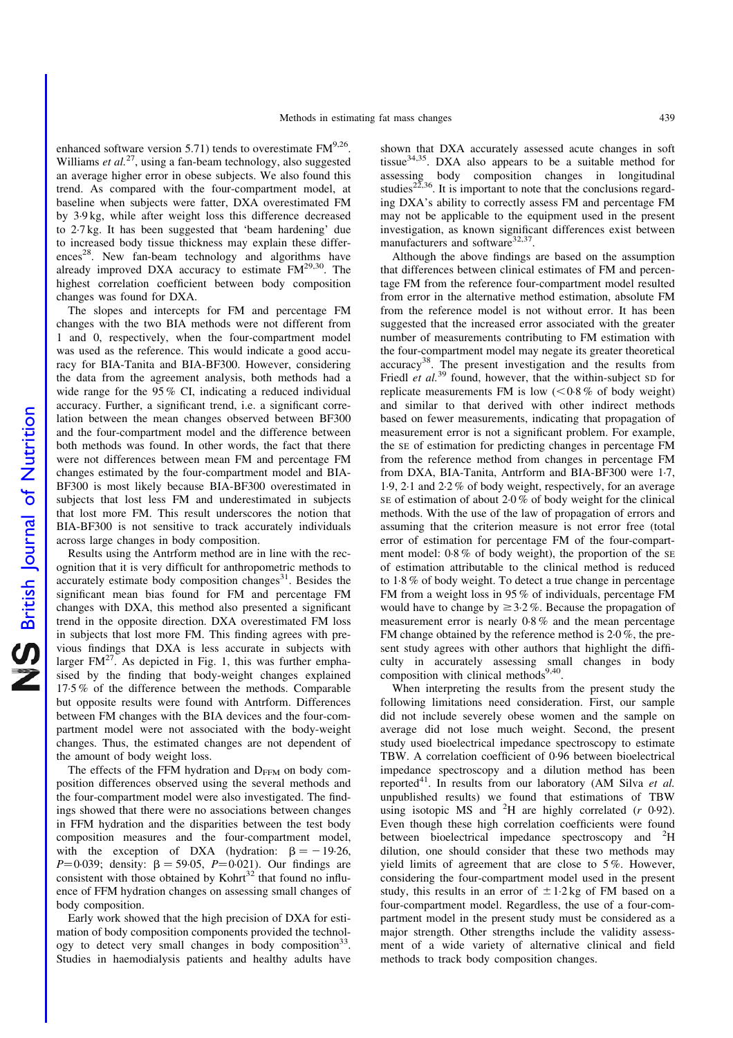enhanced software version 5.71) tends to overestimate  $FM^{9,26}$ . Williams et  $al^{27}$ , using a fan-beam technology, also suggested an average higher error in obese subjects. We also found this trend. As compared with the four-compartment model, at

baseline when subjects were fatter, DXA overestimated FM by 3·9 kg, while after weight loss this difference decreased to 2·7 kg. It has been suggested that 'beam hardening' due to increased body tissue thickness may explain these differences<sup>28</sup>. New fan-beam technology and algorithms have already improved DXA accuracy to estimate  $FM^{29,30}$ . The highest correlation coefficient between body composition changes was found for DXA.

The slopes and intercepts for FM and percentage FM changes with the two BIA methods were not different from 1 and 0, respectively, when the four-compartment model was used as the reference. This would indicate a good accuracy for BIA-Tanita and BIA-BF300. However, considering the data from the agreement analysis, both methods had a wide range for the 95 % CI, indicating a reduced individual accuracy. Further, a significant trend, i.e. a significant correlation between the mean changes observed between BF300 and the four-compartment model and the difference between both methods was found. In other words, the fact that there were not differences between mean FM and percentage FM changes estimated by the four-compartment model and BIA-BF300 is most likely because BIA-BF300 overestimated in subjects that lost less FM and underestimated in subjects that lost more FM. This result underscores the notion that BIA-BF300 is not sensitive to track accurately individuals across large changes in body composition.

Results using the Antrform method are in line with the recognition that it is very difficult for anthropometric methods to accurately estimate body composition changes $31$ . Besides the significant mean bias found for FM and percentage FM changes with DXA, this method also presented a significant trend in the opposite direction. DXA overestimated FM loss in subjects that lost more FM. This finding agrees with previous findings that DXA is less accurate in subjects with larger  $FM^{27}$ . As depicted in Fig. 1, this was further emphasised by the finding that body-weight changes explained 17·5 % of the difference between the methods. Comparable but opposite results were found with Antrform. Differences between FM changes with the BIA devices and the four-compartment model were not associated with the body-weight changes. Thus, the estimated changes are not dependent of the amount of body weight loss.

The effects of the FFM hydration and  $D_{FFM}$  on body composition differences observed using the several methods and the four-compartment model were also investigated. The findings showed that there were no associations between changes in FFM hydration and the disparities between the test body composition measures and the four-compartment model, with the exception of DXA (hydration:  $\beta = -19.26$ , P=0.039; density:  $\beta = 59.05$ , P=0.021). Our findings are consistent with those obtained by  $Kohrt^{32}$  that found no influence of FFM hydration changes on assessing small changes of body composition.

Early work showed that the high precision of DXA for estimation of body composition components provided the technology to detect very small changes in body composition  $33$ . Studies in haemodialysis patients and healthy adults have shown that DXA accurately assessed acute changes in soft tissue34,35. DXA also appears to be a suitable method for assessing body composition changes in longitudinal studies<sup>22,36</sup>. It is important to note that the conclusions regarding DXA's ability to correctly assess FM and percentage FM may not be applicable to the equipment used in the present investigation, as known significant differences exist between manufacturers and software $32,37$ .

Although the above findings are based on the assumption that differences between clinical estimates of FM and percentage FM from the reference four-compartment model resulted from error in the alternative method estimation, absolute FM from the reference model is not without error. It has been suggested that the increased error associated with the greater number of measurements contributing to FM estimation with the four-compartment model may negate its greater theoretical accuracy38. The present investigation and the results from Friedl *et al.*<sup>39</sup> found, however, that the within-subject SD for replicate measurements FM is low  $(< 0.8\%$  of body weight) and similar to that derived with other indirect methods based on fewer measurements, indicating that propagation of measurement error is not a significant problem. For example, the SE of estimation for predicting changes in percentage FM from the reference method from changes in percentage FM from DXA, BIA-Tanita, Antrform and BIA-BF300 were 1·7, 1·9, 2·1 and 2·2 % of body weight, respectively, for an average SE of estimation of about 2·0 % of body weight for the clinical methods. With the use of the law of propagation of errors and assuming that the criterion measure is not error free (total error of estimation for percentage FM of the four-compartment model: 0·8 % of body weight), the proportion of the SE of estimation attributable to the clinical method is reduced to 1·8 % of body weight. To detect a true change in percentage FM from a weight loss in 95 % of individuals, percentage FM would have to change by  $\geq$  3.2 %. Because the propagation of measurement error is nearly 0·8 % and the mean percentage FM change obtained by the reference method is 2·0 %, the present study agrees with other authors that highlight the difficulty in accurately assessing small changes in body composition with clinical methods $9,40$ .

When interpreting the results from the present study the following limitations need consideration. First, our sample did not include severely obese women and the sample on average did not lose much weight. Second, the present study used bioelectrical impedance spectroscopy to estimate TBW. A correlation coefficient of 0·96 between bioelectrical impedance spectroscopy and a dilution method has been reported $41$ . In results from our laboratory (AM Silva et al. unpublished results) we found that estimations of TBW using isotopic MS and  ${}^{2}H$  are highly correlated (r 0.92). Even though these high correlation coefficients were found between bioelectrical impedance spectroscopy and <sup>2</sup>H dilution, one should consider that these two methods may yield limits of agreement that are close to 5 %. However, considering the four-compartment model used in the present study, this results in an error of  $\pm 1.2$  kg of FM based on a four-compartment model. Regardless, the use of a four-compartment model in the present study must be considered as a major strength. Other strengths include the validity assessment of a wide variety of alternative clinical and field methods to track body composition changes.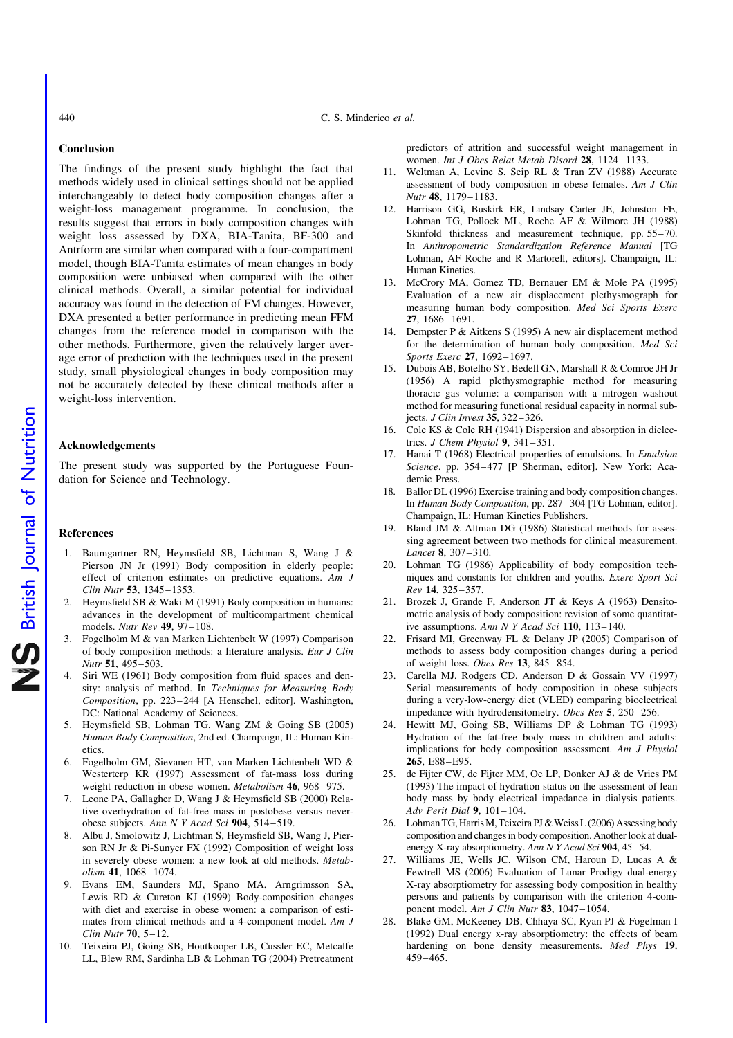## Conclusion

The findings of the present study highlight the fact that methods widely used in clinical settings should not be applied interchangeably to detect body composition changes after a weight-loss management programme. In conclusion, the results suggest that errors in body composition changes with weight loss assessed by DXA, BIA-Tanita, BF-300 and Antrform are similar when compared with a four-compartment model, though BIA-Tanita estimates of mean changes in body composition were unbiased when compared with the other clinical methods. Overall, a similar potential for individual accuracy was found in the detection of FM changes. However, DXA presented a better performance in predicting mean FFM changes from the reference model in comparison with the other methods. Furthermore, given the relatively larger average error of prediction with the techniques used in the present study, small physiological changes in body composition may not be accurately detected by these clinical methods after a weight-loss intervention.

#### Acknowledgements

The present study was supported by the Portuguese Foundation for Science and Technology.

## References

- 1. Baumgartner RN, Heymsfield SB, Lichtman S, Wang J & Pierson JN Jr (1991) Body composition in elderly people: effect of criterion estimates on predictive equations. Am J Clin Nutr 53, 1345–1353.
- 2. Heymsfield SB & Waki M (1991) Body composition in humans: advances in the development of multicompartment chemical models. Nutr Rev 49, 97–108.
- 3. Fogelholm M & van Marken Lichtenbelt W (1997) Comparison of body composition methods: a literature analysis. Eur J Clin Nutr 51, 495–503.
- 4. Siri WE (1961) Body composition from fluid spaces and density: analysis of method. In Techniques for Measuring Body Composition, pp. 223–244 [A Henschel, editor]. Washington, DC: National Academy of Sciences.
- 5. Heymsfield SB, Lohman TG, Wang ZM & Going SB (2005) Human Body Composition, 2nd ed. Champaign, IL: Human Kinetics.
- 6. Fogelholm GM, Sievanen HT, van Marken Lichtenbelt WD & Westerterp KR (1997) Assessment of fat-mass loss during weight reduction in obese women. Metabolism 46, 968–975.
- 7. Leone PA, Gallagher D, Wang J & Heymsfield SB (2000) Relative overhydration of fat-free mass in postobese versus neverobese subjects. Ann N Y Acad Sci 904, 514–519.
- 8. Albu J, Smolowitz J, Lichtman S, Heymsfield SB, Wang J, Pierson RN Jr & Pi-Sunyer FX (1992) Composition of weight loss in severely obese women: a new look at old methods. Metabolism 41, 1068–1074.
- 9. Evans EM, Saunders MJ, Spano MA, Arngrimsson SA, Lewis RD & Cureton KJ (1999) Body-composition changes with diet and exercise in obese women: a comparison of estimates from clinical methods and a 4-component model. Am J Clin Nutr 70, 5–12.
- 10. Teixeira PJ, Going SB, Houtkooper LB, Cussler EC, Metcalfe LL, Blew RM, Sardinha LB & Lohman TG (2004) Pretreatment

predictors of attrition and successful weight management in women. Int J Obes Relat Metab Disord 28, 1124–1133.

- 11. Weltman A, Levine S, Seip RL & Tran ZV (1988) Accurate assessment of body composition in obese females. Am J Clin Nutr 48, 1179–1183.
- 12. Harrison GG, Buskirk ER, Lindsay Carter JE, Johnston FE, Lohman TG, Pollock ML, Roche AF & Wilmore JH (1988) Skinfold thickness and measurement technique, pp. 55–70. In Anthropometric Standardization Reference Manual [TG Lohman, AF Roche and R Martorell, editors]. Champaign, IL: Human Kinetics.
- 13. McCrory MA, Gomez TD, Bernauer EM & Mole PA (1995) Evaluation of a new air displacement plethysmograph for measuring human body composition. Med Sci Sports Exerc 27, 1686–1691.
- 14. Dempster P & Aitkens S (1995) A new air displacement method for the determination of human body composition. Med Sci Sports Exerc 27, 1692–1697.
- 15. Dubois AB, Botelho SY, Bedell GN, Marshall R & Comroe JH Jr (1956) A rapid plethysmographic method for measuring thoracic gas volume: a comparison with a nitrogen washout method for measuring functional residual capacity in normal subjects. J Clin Invest 35, 322–326.
- 16. Cole KS & Cole RH (1941) Dispersion and absorption in dielectrics. J Chem Physiol 9, 341–351.
- 17. Hanai T (1968) Electrical properties of emulsions. In Emulsion Science, pp. 354–477 [P Sherman, editor]. New York: Academic Press.
- 18. Ballor DL (1996) Exercise training and body composition changes. In Human Body Composition, pp. 287–304 [TG Lohman, editor]. Champaign, IL: Human Kinetics Publishers.
- 19. Bland JM & Altman DG (1986) Statistical methods for assessing agreement between two methods for clinical measurement. Lancet 8, 307–310.
- 20. Lohman TG (1986) Applicability of body composition techniques and constants for children and youths. Exerc Sport Sci Rev 14, 325–357.
- 21. Brozek J, Grande F, Anderson JT & Keys A (1963) Densitometric analysis of body composition: revision of some quantitative assumptions. Ann N Y Acad Sci 110, 113–140.
- 22. Frisard MI, Greenway FL & Delany JP (2005) Comparison of methods to assess body composition changes during a period of weight loss. Obes Res 13, 845–854.
- 23. Carella MJ, Rodgers CD, Anderson D & Gossain VV (1997) Serial measurements of body composition in obese subjects during a very-low-energy diet (VLED) comparing bioelectrical impedance with hydrodensitometry. Obes Res 5, 250–256.
- 24. Hewitt MJ, Going SB, Williams DP & Lohman TG (1993) Hydration of the fat-free body mass in children and adults: implications for body composition assessment. Am J Physiol 265, E88–E95.
- 25. de Fijter CW, de Fijter MM, Oe LP, Donker AJ & de Vries PM (1993) The impact of hydration status on the assessment of lean body mass by body electrical impedance in dialysis patients. Adv Perit Dial 9, 101–104.
- 26. Lohman TG, Harris M, Teixeira PJ & Weiss L (2006) Assessing body composition and changes in body composition. Another look at dualenergy X-ray absorptiometry. Ann N Y Acad Sci 904, 45–54.
- 27. Williams JE, Wells JC, Wilson CM, Haroun D, Lucas A & Fewtrell MS (2006) Evaluation of Lunar Prodigy dual-energy X-ray absorptiometry for assessing body composition in healthy persons and patients by comparison with the criterion 4-component model. Am J Clin Nutr 83, 1047–1054.
- 28. Blake GM, McKeeney DB, Chhaya SC, Ryan PJ & Fogelman I (1992) Dual energy x-ray absorptiometry: the effects of beam hardening on bone density measurements. Med Phys 19, 459–465.